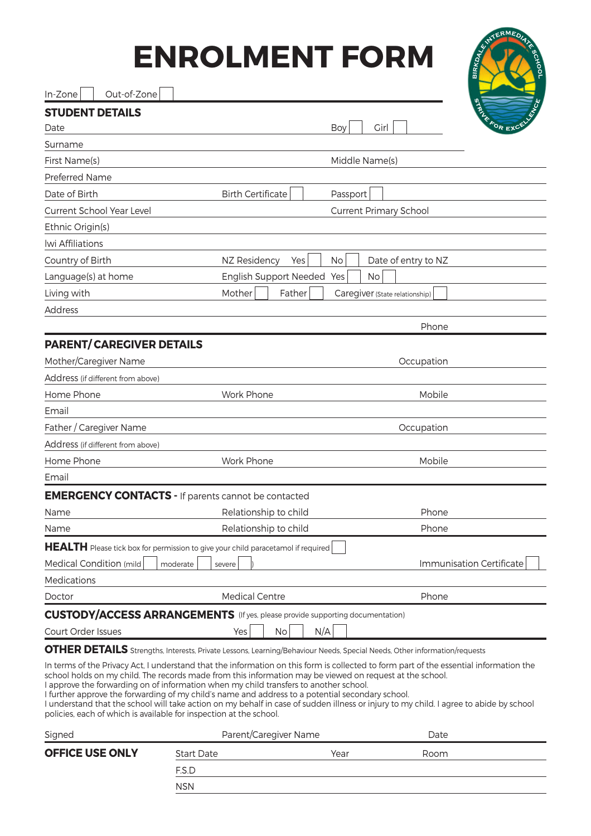## **ENROLMENT FOR**

| RM            | <b>READERS</b> AND BOOM    |
|---------------|----------------------------|
| Ί             | <b>SALE FOR EXCELLENCE</b> |
| $\epsilon(s)$ |                            |
|               |                            |
|               |                            |
| arv School    |                            |

| Out-of-Zone<br>In-Zone                                                                                                                                                                                                                                                                                                                                                      |                               |                                                                                                                                                                                                                                                                                  |
|-----------------------------------------------------------------------------------------------------------------------------------------------------------------------------------------------------------------------------------------------------------------------------------------------------------------------------------------------------------------------------|-------------------------------|----------------------------------------------------------------------------------------------------------------------------------------------------------------------------------------------------------------------------------------------------------------------------------|
| <b>STUDENT DETAILS</b>                                                                                                                                                                                                                                                                                                                                                      |                               |                                                                                                                                                                                                                                                                                  |
| Date                                                                                                                                                                                                                                                                                                                                                                        |                               | <b>SALE FOR EXC</b><br>Girl<br>Boy                                                                                                                                                                                                                                               |
| Surname                                                                                                                                                                                                                                                                                                                                                                     |                               |                                                                                                                                                                                                                                                                                  |
| First Name(s)                                                                                                                                                                                                                                                                                                                                                               |                               | Middle Name(s)                                                                                                                                                                                                                                                                   |
| Preferred Name                                                                                                                                                                                                                                                                                                                                                              |                               |                                                                                                                                                                                                                                                                                  |
| Date of Birth                                                                                                                                                                                                                                                                                                                                                               | <b>Birth Certificate</b>      | Passport                                                                                                                                                                                                                                                                         |
| <b>Current School Year Level</b>                                                                                                                                                                                                                                                                                                                                            |                               | <b>Current Primary School</b>                                                                                                                                                                                                                                                    |
| Ethnic Origin(s)                                                                                                                                                                                                                                                                                                                                                            |                               |                                                                                                                                                                                                                                                                                  |
| lwi Affiliations                                                                                                                                                                                                                                                                                                                                                            |                               |                                                                                                                                                                                                                                                                                  |
| Country of Birth                                                                                                                                                                                                                                                                                                                                                            | NZ Residency<br>Yes           | Date of entry to NZ<br>No                                                                                                                                                                                                                                                        |
| Language(s) at home                                                                                                                                                                                                                                                                                                                                                         | <b>English Support Needed</b> | No<br>Yes                                                                                                                                                                                                                                                                        |
| Living with                                                                                                                                                                                                                                                                                                                                                                 | Mother<br>Father              | Caregiver (State relationship)                                                                                                                                                                                                                                                   |
| <b>Address</b>                                                                                                                                                                                                                                                                                                                                                              |                               |                                                                                                                                                                                                                                                                                  |
|                                                                                                                                                                                                                                                                                                                                                                             |                               | Phone                                                                                                                                                                                                                                                                            |
| <b>PARENT/CAREGIVER DETAILS</b>                                                                                                                                                                                                                                                                                                                                             |                               |                                                                                                                                                                                                                                                                                  |
| Mother/Caregiver Name                                                                                                                                                                                                                                                                                                                                                       |                               | Occupation                                                                                                                                                                                                                                                                       |
| Address (if different from above)                                                                                                                                                                                                                                                                                                                                           |                               |                                                                                                                                                                                                                                                                                  |
| Home Phone                                                                                                                                                                                                                                                                                                                                                                  | Work Phone                    | Mobile                                                                                                                                                                                                                                                                           |
| Email                                                                                                                                                                                                                                                                                                                                                                       |                               |                                                                                                                                                                                                                                                                                  |
| Father / Caregiver Name                                                                                                                                                                                                                                                                                                                                                     |                               | Occupation                                                                                                                                                                                                                                                                       |
| Address (if different from above)                                                                                                                                                                                                                                                                                                                                           |                               |                                                                                                                                                                                                                                                                                  |
| Home Phone                                                                                                                                                                                                                                                                                                                                                                  | Work Phone                    | Mobile                                                                                                                                                                                                                                                                           |
| Email                                                                                                                                                                                                                                                                                                                                                                       |                               |                                                                                                                                                                                                                                                                                  |
| <b>EMERGENCY CONTACTS - If parents cannot be contacted</b>                                                                                                                                                                                                                                                                                                                  |                               |                                                                                                                                                                                                                                                                                  |
| Name                                                                                                                                                                                                                                                                                                                                                                        | Relationship to child         | Phone                                                                                                                                                                                                                                                                            |
| Name                                                                                                                                                                                                                                                                                                                                                                        | Relationship to child         | Phone                                                                                                                                                                                                                                                                            |
| <b>HEALTH</b> Please tick box for permission to give your child paracetamol if required                                                                                                                                                                                                                                                                                     |                               |                                                                                                                                                                                                                                                                                  |
| Medical Condition (mild)<br>moderate                                                                                                                                                                                                                                                                                                                                        | severe                        | Immunisation Certificate                                                                                                                                                                                                                                                         |
| Medications                                                                                                                                                                                                                                                                                                                                                                 |                               |                                                                                                                                                                                                                                                                                  |
| Doctor                                                                                                                                                                                                                                                                                                                                                                      | <b>Medical Centre</b>         | Phone                                                                                                                                                                                                                                                                            |
| <b>CUSTODY/ACCESS ARRANGEMENTS</b> (If yes, please provide supporting documentation)                                                                                                                                                                                                                                                                                        |                               |                                                                                                                                                                                                                                                                                  |
| Court Order Issues                                                                                                                                                                                                                                                                                                                                                          | No<br>Yes                     | N/A                                                                                                                                                                                                                                                                              |
|                                                                                                                                                                                                                                                                                                                                                                             |                               | <b>OTHER DETAILS</b> Strengths, Interests, Private Lessons, Learning/Behaviour Needs, Special Needs, Other information/requests                                                                                                                                                  |
| school holds on my child. The records made from this information may be viewed on request at the school.<br>I approve the forwarding on of information when my child transfers to another school.<br>I further approve the forwarding of my child's name and address to a potential secondary school.<br>policies, each of which is available for inspection at the school. |                               | In terms of the Privacy Act, I understand that the information on this form is collected to form part of the essential information the<br>I understand that the school will take action on my behalf in case of sudden illness or injury to my child. I agree to abide by school |

| Signed                 | Parent/Caregiver Name |      | Date |  |
|------------------------|-----------------------|------|------|--|
| <b>OFFICE USE ONLY</b> | <b>Start Date</b>     | Year | Room |  |
|                        | F.S.D                 |      |      |  |
|                        | <b>NSN</b>            |      |      |  |